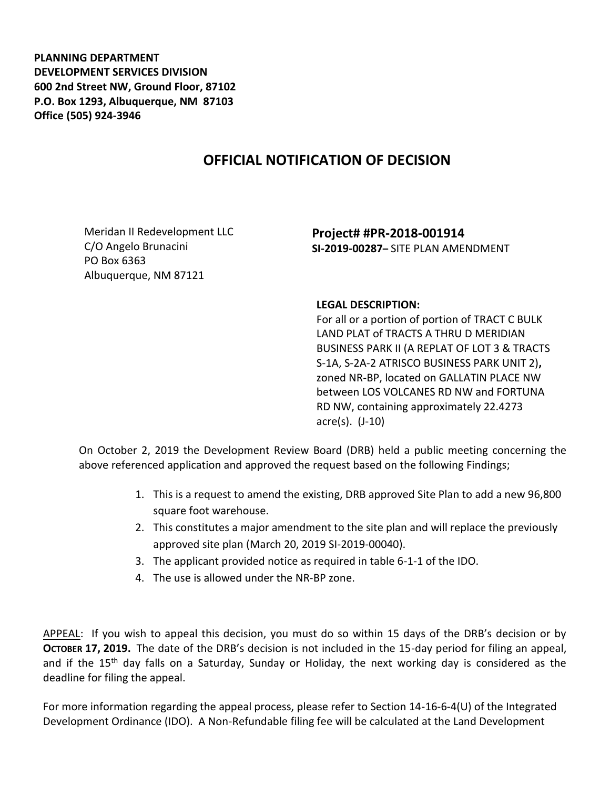**PLANNING DEPARTMENT DEVELOPMENT SERVICES DIVISION 600 2nd Street NW, Ground Floor, 87102 P.O. Box 1293, Albuquerque, NM 87103 Office (505) 924-3946** 

## **OFFICIAL NOTIFICATION OF DECISION**

Meridan II Redevelopment LLC C/O Angelo Brunacini PO Box 6363 Albuquerque, NM 87121

**Project# #PR-2018-001914 SI-2019-00287–** SITE PLAN AMENDMENT

## **LEGAL DESCRIPTION:**

For all or a portion of portion of TRACT C BULK LAND PLAT of TRACTS A THRU D MERIDIAN BUSINESS PARK II (A REPLAT OF LOT 3 & TRACTS S-1A, S-2A-2 ATRISCO BUSINESS PARK UNIT 2)**,**  zoned NR-BP, located on GALLATIN PLACE NW between LOS VOLCANES RD NW and FORTUNA RD NW, containing approximately 22.4273 acre(s). (J-10)

On October 2, 2019 the Development Review Board (DRB) held a public meeting concerning the above referenced application and approved the request based on the following Findings;

- 1. This is a request to amend the existing, DRB approved Site Plan to add a new 96,800 square foot warehouse.
- 2. This constitutes a major amendment to the site plan and will replace the previously approved site plan (March 20, 2019 SI-2019-00040).
- 3. The applicant provided notice as required in table 6-1-1 of the IDO.
- 4. The use is allowed under the NR-BP zone.

APPEAL: If you wish to appeal this decision, you must do so within 15 days of the DRB's decision or by **OCTOBER 17, 2019.** The date of the DRB's decision is not included in the 15-day period for filing an appeal, and if the 15<sup>th</sup> day falls on a Saturday, Sunday or Holiday, the next working day is considered as the deadline for filing the appeal.

For more information regarding the appeal process, please refer to Section 14-16-6-4(U) of the Integrated Development Ordinance (IDO). A Non-Refundable filing fee will be calculated at the Land Development